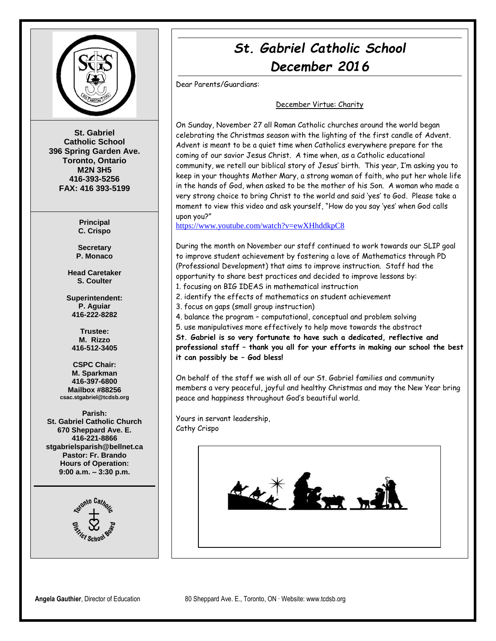

**St. Gabriel Catholic School 396 Spring Garden Ave. Toronto, Ontario M2N 3H5 416-393-5256 FAX: 416 393-5199**

> **Principal C. Crispo**

**Secretary P. Monaco**

**Head Caretaker S. Coulter**

**Superintendent: P. Aguiar 416-222-8282**

**Trustee: M. Rizzo 416-512-3405**

**CSPC Chair: M. Sparkman 416-397-6800 Mailbox #88256 csac.stgabriel@tcdsb.org**

**Parish: St. Gabriel Catholic Church 670 Sheppard Ave. E. 416-221-8866 stgabrielsparish@bellnet.ca Pastor: Fr. Brando Hours of Operation: 9:00 a.m. – 3:30 p.m.**



# *St. Gabriel Catholic School December 2016*

Dear Parents/Guardians:

#### December Virtue: Charity

On Sunday, November 27 all Roman Catholic churches around the world began celebrating the Christmas season with the lighting of the first candle of Advent. Advent is meant to be a quiet time when Catholics everywhere prepare for the coming of our savior Jesus Christ. A time when, as a Catholic educational community, we retell our biblical story of Jesus' birth. This year, I'm asking you to keep in your thoughts Mother Mary, a strong woman of faith, who put her whole life in the hands of God, when asked to be the mother of his Son. A woman who made a very strong choice to bring Christ to the world and said 'yes' to God. Please take a moment to view this video and ask yourself, "How do you say 'yes' when God calls upon you?"

<https://www.youtube.com/watch?v=ewXHhddkpC8>

During the month on November our staff continued to work towards our SLIP goal to improve student achievement by fostering a love of Mathematics through PD (Professional Development) that aims to improve instruction. Staff had the opportunity to share best practices and decided to improve lessons by: 1. focusing on BIG IDEAS in mathematical instruction

2. identify the effects of mathematics on student achievement

3. focus on gaps (small group instruction)

4. balance the program – computational, conceptual and problem solving

5. use manipulatives more effectively to help move towards the abstract

**St. Gabriel is so very fortunate to have such a dedicated, reflective and professional staff – thank you all for your efforts in making our school the best it can possibly be – God bless!** 

On behalf of the staff we wish all of our St. Gabriel families and community members a very peaceful, joyful and healthy Christmas and may the New Year bring peace and happiness throughout God's beautiful world.

Yours in servant leadership, Cathy Crispo

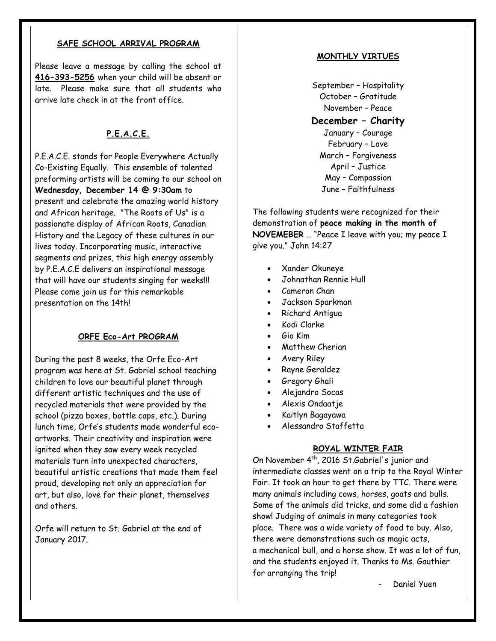### **SAFE SCHOOL ARRIVAL PROGRAM**

Please leave a message by calling the school at **416-393-5256** when your child will be absent or late. Please make sure that all students who arrive late check in at the front office.

### **P.E.A.C.E.**

P.E.A.C.E. stands for People Everywhere Actually Co-Existing Equally. This ensemble of talented preforming artists will be coming to our school on **Wednesday, December 14 @ 9:30am** to present and celebrate the amazing world history and African heritage. "The Roots of Us" is a passionate display of African Roots, Canadian History and the Legacy of these cultures in our lives today. Incorporating music, interactive segments and prizes, this high energy assembly by P.E.A.C.E delivers an inspirational message that will have our students singing for weeks!!! Please come join us for this remarkable presentation on the 14th!

### **ORFE Eco-Art PROGRAM**

During the past 8 weeks, the Orfe Eco-Art program was here at St. Gabriel school teaching children to love our beautiful planet through different artistic techniques and the use of recycled materials that were provided by the school (pizza boxes, bottle caps, etc.). During lunch time, Orfe's students made wonderful ecoartworks. Their creativity and inspiration were ignited when they saw every week recycled materials turn into unexpected characters, beautiful artistic creations that made them feel proud, developing not only an appreciation for art, but also, love for their planet, themselves and others.

Orfe will return to St. Gabriel at the end of January 2017.

#### **MONTHLY VIRTUES**

September – Hospitality October – Gratitude November – Peace **December – Charity** January – Courage February – Love March – Forgiveness April – Justice May – Compassion June – Faithfulness

The following students were recognized for their demonstration of **peace making in the month of NOVEMEBER** … "Peace I leave with you; my peace I give you." John 14:27

- Xander Okuneye
- Johnathan Rennie Hull
- Cameron Chan
- Jackson Sparkman
- Richard Antigua
- Kodi Clarke
- Gio Kim
- Matthew Cherian
- Avery Riley
- Rayne Geraldez
- **•** Gregory Ghali
- Alejandro Socas
- Alexis Ondaatje
- Kaitlyn Bagayawa
- Alessandro Staffetta

### **ROYAL WINTER FAIR**

On November 4<sup>th</sup>, 2016 St.Gabriel's junior and intermediate classes went on a trip to the Royal Winter Fair. It took an hour to get there by TTC. There were many animals including cows, horses, goats and bulls. Some of the animals did tricks, and some did a fashion show! Judging of animals in many categories took place. There was a wide variety of food to buy. Also, there were demonstrations such as magic acts, a mechanical bull, and a horse show. It was a lot of fun, and the students enjoyed it. Thanks to Ms. Gauthier for arranging the trip!

Daniel Yuen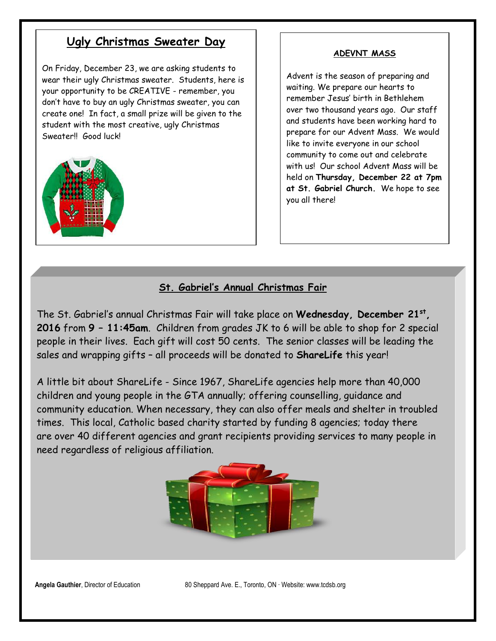## **Ugly Christmas Sweater Day**

On Friday, December 23, we are asking students to wear their ugly Christmas sweater. Students, here is your opportunity to be CREATIVE - remember, you don't have to buy an ugly Christmas sweater, you can create one! In fact, a small prize will be given to the student with the most creative, ugly Christmas Sweater!! Good luck!



### **ADEVNT MASS**

Advent is the season of preparing and waiting. We prepare our hearts to remember Jesus' birth in Bethlehem over two thousand years ago. Our staff and students have been working hard to prepare for our Advent Mass. We would like to invite everyone in our school community to come out and celebrate with us! Our school Advent Mass will be held on **Thursday, December 22 at 7pm at St. Gabriel Church.** We hope to see you all there!

### **St. Gabriel's Annual Christmas Fair**

The St. Gabriel's annual Christmas Fair will take place on **Wednesday, December 21st , 2016** from **9 – 11:45am**. Children from grades JK to 6 will be able to shop for 2 special people in their lives. Each gift will cost 50 cents. The senior classes will be leading the sales and wrapping gifts – all proceeds will be donated to **ShareLife** this year!

A little bit about ShareLife - Since 1967, ShareLife agencies help more than 40,000 children and young people in the GTA annually; offering counselling, guidance and community education. When necessary, they can also offer meals and shelter in troubled times. This local, Catholic based charity started by funding 8 agencies; today there are over 40 different agencies and grant recipients providing services to many people in need regardless of religious affiliation.



**Angela Gauthier**, Director of Education 80 Sheppard Ave. E., Toronto, ON ∙ Website: www.tcdsb.org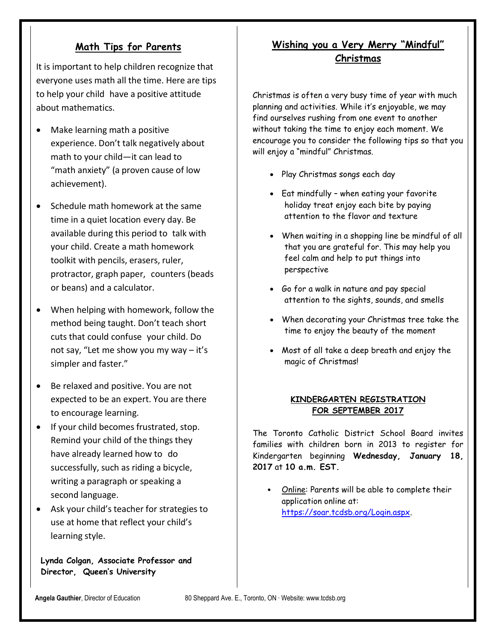### **Math Tips for Parents**

It is important to help children recognize that everyone uses math all the time. Here are tips to help your child have a positive attitude about mathematics.

- Make learning math a positive experience. Don't talk negatively about math to your child—it can lead to "math anxiety" (a proven cause of low achievement).
- Schedule math homework at the same time in a quiet location every day. Be available during this period to talk with your child. Create a math homework toolkit with pencils, erasers, ruler, protractor, graph paper, counters (beads or beans) and a calculator.
- When helping with homework, follow the method being taught. Don't teach short cuts that could confuse your child. Do not say, "Let me show you my way – it's simpler and faster."
- Be relaxed and positive. You are not expected to be an expert. You are there to encourage learning.
- **•** If your child becomes frustrated, stop. Remind your child of the things they have already learned how to do successfully, such as riding a bicycle, writing a paragraph or speaking a second language.
- Ask your child's teacher for strategies to use at home that reflect your child's learning style.

**Lynda Colgan, Associate Professor and Director, Queen's University**

### **Wishing you a Very Merry "Mindful" Christmas**

Christmas is often a very busy time of year with much planning and activities. While it's enjoyable, we may find ourselves rushing from one event to another without taking the time to enjoy each moment. We encourage you to consider the following tips so that you will enjoy a "mindful" Christmas.

- Play Christmas songs each day
- Eat mindfully when eating your favorite holiday treat enjoy each bite by paying attention to the flavor and texture
- When waiting in a shopping line be mindful of all that you are grateful for. This may help you feel calm and help to put things into perspective
- Go for a walk in nature and pay special attention to the sights, sounds, and smells
- When decorating your Christmas tree take the time to enjoy the beauty of the moment
- Most of all take a deep breath and enjoy the magic of Christmas!

### **KINDERGARTEN REGISTRATION FOR SEPTEMBER 2017**

The Toronto Catholic District School Board invites families with children born in 2013 to register for Kindergarten beginning **Wednesday, January 18, 2017** at **10 a.m. EST.**

• Online: Parents will be able to complete their application online at: [https://soar.tcdsb.org/Login.aspx.](https://soar.tcdsb.org/Login.aspx)